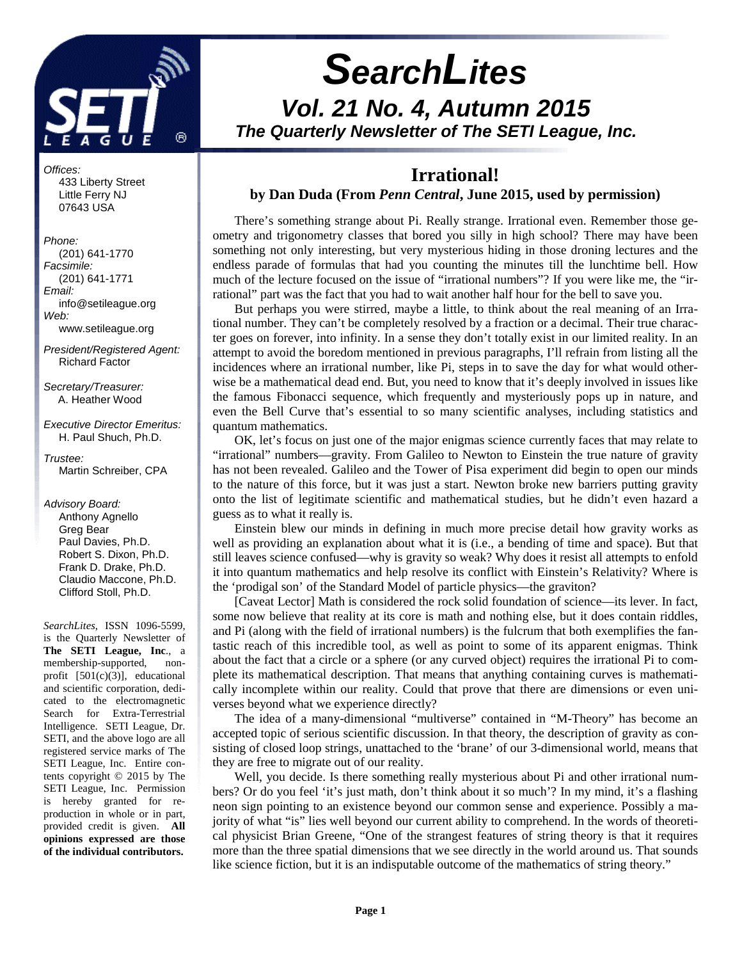

# **SearchLites Vol. 21 No. 4, Autumn 2015 The Quarterly Newsletter of The SETI League, Inc.**

Offices:

 433 Liberty Street Little Ferry NJ 07643 USA

Phone: (201) 641-1770 Facsimile: (201) 641-1771 Email: info@setileague.org Web: www.setileague.org

President/Registered Agent: Richard Factor

Secretary/Treasurer: A. Heather Wood

Executive Director Emeritus: H. Paul Shuch, Ph.D.

Trustee: Martin Schreiber, CPA

Advisory Board: Anthony Agnello Greg Bear Paul Davies, Ph.D. Robert S. Dixon, Ph.D. Frank D. Drake, Ph.D. Claudio Maccone, Ph.D. Clifford Stoll, Ph.D.

*SearchLites*, ISSN 1096-5599, is the Quarterly Newsletter of **The SETI League, Inc**., a membership-supported, nonprofit [501(c)(3)], educational and scientific corporation, dedicated to the electromagnetic Search for Extra-Terrestrial Intelligence. SETI League, Dr. SETI, and the above logo are all registered service marks of The SETI League, Inc. Entire contents copyright © 2015 by The SETI League, Inc. Permission is hereby granted for reproduction in whole or in part, provided credit is given. **All opinions expressed are those of the individual contributors.** 

## **Irrational! by Dan Duda (From** *Penn Central***, June 2015, used by permission)**

There's something strange about Pi. Really strange. Irrational even. Remember those geometry and trigonometry classes that bored you silly in high school? There may have been something not only interesting, but very mysterious hiding in those droning lectures and the endless parade of formulas that had you counting the minutes till the lunchtime bell. How much of the lecture focused on the issue of "irrational numbers"? If you were like me, the "irrational" part was the fact that you had to wait another half hour for the bell to save you.

But perhaps you were stirred, maybe a little, to think about the real meaning of an Irrational number. They can't be completely resolved by a fraction or a decimal. Their true character goes on forever, into infinity. In a sense they don't totally exist in our limited reality. In an attempt to avoid the boredom mentioned in previous paragraphs, I'll refrain from listing all the incidences where an irrational number, like Pi, steps in to save the day for what would otherwise be a mathematical dead end. But, you need to know that it's deeply involved in issues like the famous Fibonacci sequence, which frequently and mysteriously pops up in nature, and even the Bell Curve that's essential to so many scientific analyses, including statistics and quantum mathematics.

OK, let's focus on just one of the major enigmas science currently faces that may relate to "irrational" numbers—gravity. From Galileo to Newton to Einstein the true nature of gravity has not been revealed. Galileo and the Tower of Pisa experiment did begin to open our minds to the nature of this force, but it was just a start. Newton broke new barriers putting gravity onto the list of legitimate scientific and mathematical studies, but he didn't even hazard a guess as to what it really is.

Einstein blew our minds in defining in much more precise detail how gravity works as well as providing an explanation about what it is (i.e., a bending of time and space). But that still leaves science confused—why is gravity so weak? Why does it resist all attempts to enfold it into quantum mathematics and help resolve its conflict with Einstein's Relativity? Where is the 'prodigal son' of the Standard Model of particle physics—the graviton?

[Caveat Lector] Math is considered the rock solid foundation of science—its lever. In fact, some now believe that reality at its core is math and nothing else, but it does contain riddles, and Pi (along with the field of irrational numbers) is the fulcrum that both exemplifies the fantastic reach of this incredible tool, as well as point to some of its apparent enigmas. Think about the fact that a circle or a sphere (or any curved object) requires the irrational Pi to complete its mathematical description. That means that anything containing curves is mathematically incomplete within our reality. Could that prove that there are dimensions or even universes beyond what we experience directly?

The idea of a many-dimensional "multiverse" contained in "M-Theory" has become an accepted topic of serious scientific discussion. In that theory, the description of gravity as consisting of closed loop strings, unattached to the 'brane' of our 3-dimensional world, means that they are free to migrate out of our reality.

Well, you decide. Is there something really mysterious about Pi and other irrational numbers? Or do you feel 'it's just math, don't think about it so much'? In my mind, it's a flashing neon sign pointing to an existence beyond our common sense and experience. Possibly a majority of what "is" lies well beyond our current ability to comprehend. In the words of theoretical physicist Brian Greene, "One of the strangest features of string theory is that it requires more than the three spatial dimensions that we see directly in the world around us. That sounds like science fiction, but it is an indisputable outcome of the mathematics of string theory."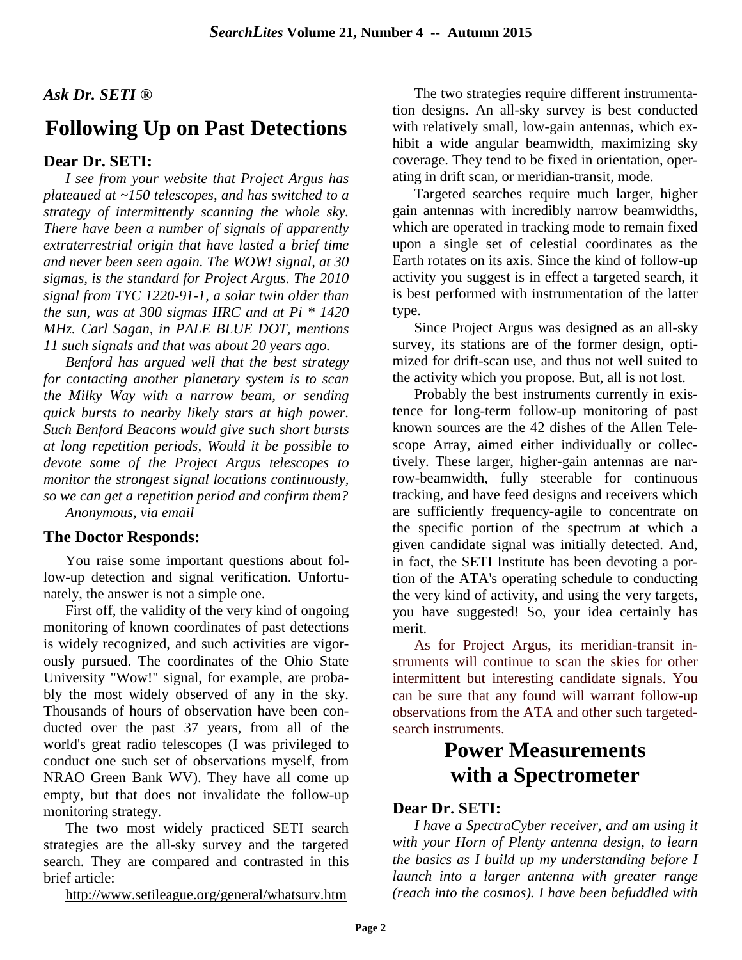# *Ask Dr. SETI ®*

# **Following Up on Past Detections**

## **Dear Dr. SETI:**

*I see from your website that Project Argus has plateaued at ~150 telescopes, and has switched to a strategy of intermittently scanning the whole sky. There have been a number of signals of apparently extraterrestrial origin that have lasted a brief time and never been seen again. The WOW! signal, at 30 sigmas, is the standard for Project Argus. The 2010 signal from TYC 1220-91-1, a solar twin older than the sun, was at 300 sigmas IIRC and at Pi \* 1420 MHz. Carl Sagan, in PALE BLUE DOT, mentions 11 such signals and that was about 20 years ago.* 

*Benford has argued well that the best strategy for contacting another planetary system is to scan the Milky Way with a narrow beam, or sending quick bursts to nearby likely stars at high power. Such Benford Beacons would give such short bursts at long repetition periods, Would it be possible to devote some of the Project Argus telescopes to monitor the strongest signal locations continuously, so we can get a repetition period and confirm them? Anonymous, via email*

# **The Doctor Responds:**

You raise some important questions about follow-up detection and signal verification. Unfortunately, the answer is not a simple one.

First off, the validity of the very kind of ongoing monitoring of known coordinates of past detections is widely recognized, and such activities are vigorously pursued. The coordinates of the Ohio State University "Wow!" signal, for example, are probably the most widely observed of any in the sky. Thousands of hours of observation have been conducted over the past 37 years, from all of the world's great radio telescopes (I was privileged to conduct one such set of observations myself, from NRAO Green Bank WV). They have all come up empty, but that does not invalidate the follow-up monitoring strategy.

The two most widely practiced SETI search strategies are the all-sky survey and the targeted search. They are compared and contrasted in this brief article:

http://www.setileague.org/general/whatsurv.htm

The two strategies require different instrumentation designs. An all-sky survey is best conducted with relatively small, low-gain antennas, which exhibit a wide angular beamwidth, maximizing sky coverage. They tend to be fixed in orientation, operating in drift scan, or meridian-transit, mode.

Targeted searches require much larger, higher gain antennas with incredibly narrow beamwidths, which are operated in tracking mode to remain fixed upon a single set of celestial coordinates as the Earth rotates on its axis. Since the kind of follow-up activity you suggest is in effect a targeted search, it is best performed with instrumentation of the latter type.

Since Project Argus was designed as an all-sky survey, its stations are of the former design, optimized for drift-scan use, and thus not well suited to the activity which you propose. But, all is not lost.

Probably the best instruments currently in existence for long-term follow-up monitoring of past known sources are the 42 dishes of the Allen Telescope Array, aimed either individually or collectively. These larger, higher-gain antennas are narrow-beamwidth, fully steerable for continuous tracking, and have feed designs and receivers which are sufficiently frequency-agile to concentrate on the specific portion of the spectrum at which a given candidate signal was initially detected. And, in fact, the SETI Institute has been devoting a portion of the ATA's operating schedule to conducting the very kind of activity, and using the very targets, you have suggested! So, your idea certainly has merit.

As for Project Argus, its meridian-transit instruments will continue to scan the skies for other intermittent but interesting candidate signals. You can be sure that any found will warrant follow-up observations from the ATA and other such targetedsearch instruments.

# **Power Measurements with a Spectrometer**

## **Dear Dr. SETI:**

*I have a SpectraCyber receiver, and am using it with your Horn of Plenty antenna design, to learn the basics as I build up my understanding before I launch into a larger antenna with greater range (reach into the cosmos). I have been befuddled with*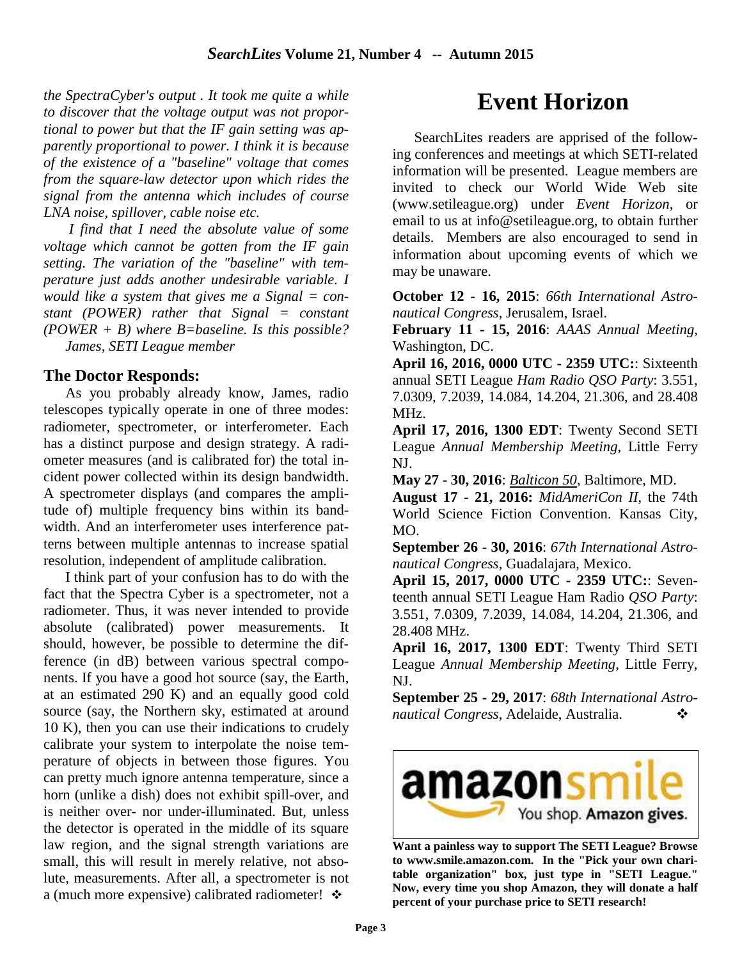*the SpectraCyber's output . It took me quite a while to discover that the voltage output was not proportional to power but that the IF gain setting was apparently proportional to power. I think it is because of the existence of a "baseline" voltage that comes from the square-law detector upon which rides the signal from the antenna which includes of course LNA noise, spillover, cable noise etc.* 

 *I find that I need the absolute value of some voltage which cannot be gotten from the IF gain setting. The variation of the "baseline" with temperature just adds another undesirable variable. I would like a system that gives me a Signal = constant (POWER) rather that Signal = constant (POWER + B) where B=baseline. Is this possible? James, SETI League member* 

### **The Doctor Responds:**

As you probably already know, James, radio telescopes typically operate in one of three modes: radiometer, spectrometer, or interferometer. Each has a distinct purpose and design strategy. A radiometer measures (and is calibrated for) the total incident power collected within its design bandwidth. A spectrometer displays (and compares the amplitude of) multiple frequency bins within its bandwidth. And an interferometer uses interference patterns between multiple antennas to increase spatial resolution, independent of amplitude calibration.

I think part of your confusion has to do with the fact that the Spectra Cyber is a spectrometer, not a radiometer. Thus, it was never intended to provide absolute (calibrated) power measurements. It should, however, be possible to determine the difference (in dB) between various spectral components. If you have a good hot source (say, the Earth, at an estimated 290 K) and an equally good cold source (say, the Northern sky, estimated at around 10 K), then you can use their indications to crudely calibrate your system to interpolate the noise temperature of objects in between those figures. You can pretty much ignore antenna temperature, since a horn (unlike a dish) does not exhibit spill-over, and is neither over- nor under-illuminated. But, unless the detector is operated in the middle of its square law region, and the signal strength variations are small, this will result in merely relative, not absolute, measurements. After all, a spectrometer is not a (much more expensive) calibrated radiometer!  $\cdot \cdot$ 

# **Event Horizon**

SearchLites readers are apprised of the following conferences and meetings at which SETI-related information will be presented. League members are invited to check our World Wide Web site (www.setileague.org) under *Event Horizon*, or email to us at info@setileague.org, to obtain further details. Members are also encouraged to send in information about upcoming events of which we may be unaware.

**October 12 - 16, 2015**: *66th International Astronautical Congress*, Jerusalem, Israel.

**February 11 - 15, 2016**: *AAAS Annual Meeting*, Washington, DC.

**April 16, 2016, 0000 UTC - 2359 UTC:**: Sixteenth annual SETI League *Ham Radio QSO Party*: 3.551, 7.0309, 7.2039, 14.084, 14.204, 21.306, and 28.408 MHz.

**April 17, 2016, 1300 EDT**: Twenty Second SETI League *Annual Membership Meeting*, Little Ferry NJ.

**May 27 - 30, 2016**: *Balticon 50*, Baltimore, MD.

**August 17 - 21, 2016:** *MidAmeriCon II*, the 74th World Science Fiction Convention. Kansas City, MO.

**September 26 - 30, 2016**: *67th International Astronautical Congress*, Guadalajara, Mexico.

**April 15, 2017, 0000 UTC - 2359 UTC:**: Seventeenth annual SETI League Ham Radio *QSO Party*: 3.551, 7.0309, 7.2039, 14.084, 14.204, 21.306, and 28.408 MHz.

**April 16, 2017, 1300 EDT**: Twenty Third SETI League *Annual Membership Meeting*, Little Ferry, NJ.

**September 25 - 29, 2017**: *68th International Astronautical Congress*, Adelaide, Australia. -



**Want a painless way to support The SETI League? Browse to www.smile.amazon.com. In the "Pick your own charitable organization" box, just type in "SETI League." Now, every time you shop Amazon, they will donate a half percent of your purchase price to SETI research!**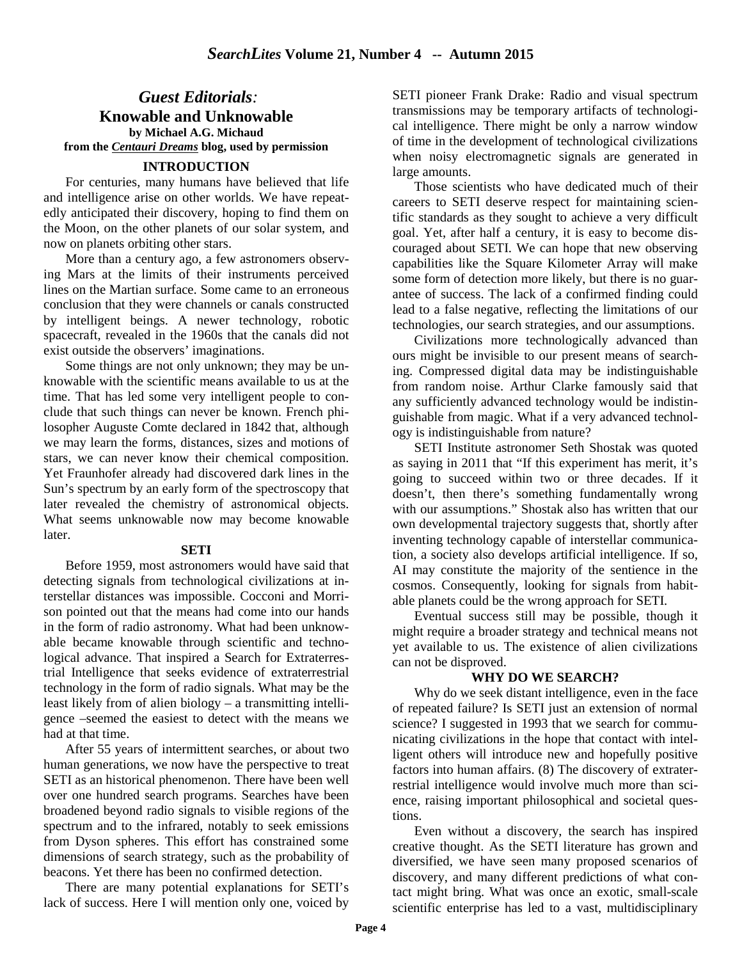## *Guest Editorials:*  **Knowable and Unknowable by Michael A.G. Michaud from the** *Centauri Dreams* **blog, used by permission**

#### **INTRODUCTION**

For centuries, many humans have believed that life and intelligence arise on other worlds. We have repeatedly anticipated their discovery, hoping to find them on the Moon, on the other planets of our solar system, and now on planets orbiting other stars.

More than a century ago, a few astronomers observing Mars at the limits of their instruments perceived lines on the Martian surface. Some came to an erroneous conclusion that they were channels or canals constructed by intelligent beings. A newer technology, robotic spacecraft, revealed in the 1960s that the canals did not exist outside the observers' imaginations.

Some things are not only unknown; they may be unknowable with the scientific means available to us at the time. That has led some very intelligent people to conclude that such things can never be known. French philosopher Auguste Comte declared in 1842 that, although we may learn the forms, distances, sizes and motions of stars, we can never know their chemical composition. Yet Fraunhofer already had discovered dark lines in the Sun's spectrum by an early form of the spectroscopy that later revealed the chemistry of astronomical objects. What seems unknowable now may become knowable later.

#### **SETI**

Before 1959, most astronomers would have said that detecting signals from technological civilizations at interstellar distances was impossible. Cocconi and Morrison pointed out that the means had come into our hands in the form of radio astronomy. What had been unknowable became knowable through scientific and technological advance. That inspired a Search for Extraterrestrial Intelligence that seeks evidence of extraterrestrial technology in the form of radio signals. What may be the least likely from of alien biology – a transmitting intelligence –seemed the easiest to detect with the means we had at that time.

After 55 years of intermittent searches, or about two human generations, we now have the perspective to treat SETI as an historical phenomenon. There have been well over one hundred search programs. Searches have been broadened beyond radio signals to visible regions of the spectrum and to the infrared, notably to seek emissions from Dyson spheres. This effort has constrained some dimensions of search strategy, such as the probability of beacons. Yet there has been no confirmed detection.

There are many potential explanations for SETI's lack of success. Here I will mention only one, voiced by

SETI pioneer Frank Drake: Radio and visual spectrum transmissions may be temporary artifacts of technological intelligence. There might be only a narrow window of time in the development of technological civilizations when noisy electromagnetic signals are generated in large amounts.

Those scientists who have dedicated much of their careers to SETI deserve respect for maintaining scientific standards as they sought to achieve a very difficult goal. Yet, after half a century, it is easy to become discouraged about SETI. We can hope that new observing capabilities like the Square Kilometer Array will make some form of detection more likely, but there is no guarantee of success. The lack of a confirmed finding could lead to a false negative, reflecting the limitations of our technologies, our search strategies, and our assumptions.

Civilizations more technologically advanced than ours might be invisible to our present means of searching. Compressed digital data may be indistinguishable from random noise. Arthur Clarke famously said that any sufficiently advanced technology would be indistinguishable from magic. What if a very advanced technology is indistinguishable from nature?

SETI Institute astronomer Seth Shostak was quoted as saying in 2011 that "If this experiment has merit, it's going to succeed within two or three decades. If it doesn't, then there's something fundamentally wrong with our assumptions." Shostak also has written that our own developmental trajectory suggests that, shortly after inventing technology capable of interstellar communication, a society also develops artificial intelligence. If so, AI may constitute the majority of the sentience in the cosmos. Consequently, looking for signals from habitable planets could be the wrong approach for SETI.

Eventual success still may be possible, though it might require a broader strategy and technical means not yet available to us. The existence of alien civilizations can not be disproved.

#### **WHY DO WE SEARCH?**

Why do we seek distant intelligence, even in the face of repeated failure? Is SETI just an extension of normal science? I suggested in 1993 that we search for communicating civilizations in the hope that contact with intelligent others will introduce new and hopefully positive factors into human affairs. (8) The discovery of extraterrestrial intelligence would involve much more than science, raising important philosophical and societal questions.

Even without a discovery, the search has inspired creative thought. As the SETI literature has grown and diversified, we have seen many proposed scenarios of discovery, and many different predictions of what contact might bring. What was once an exotic, small-scale scientific enterprise has led to a vast, multidisciplinary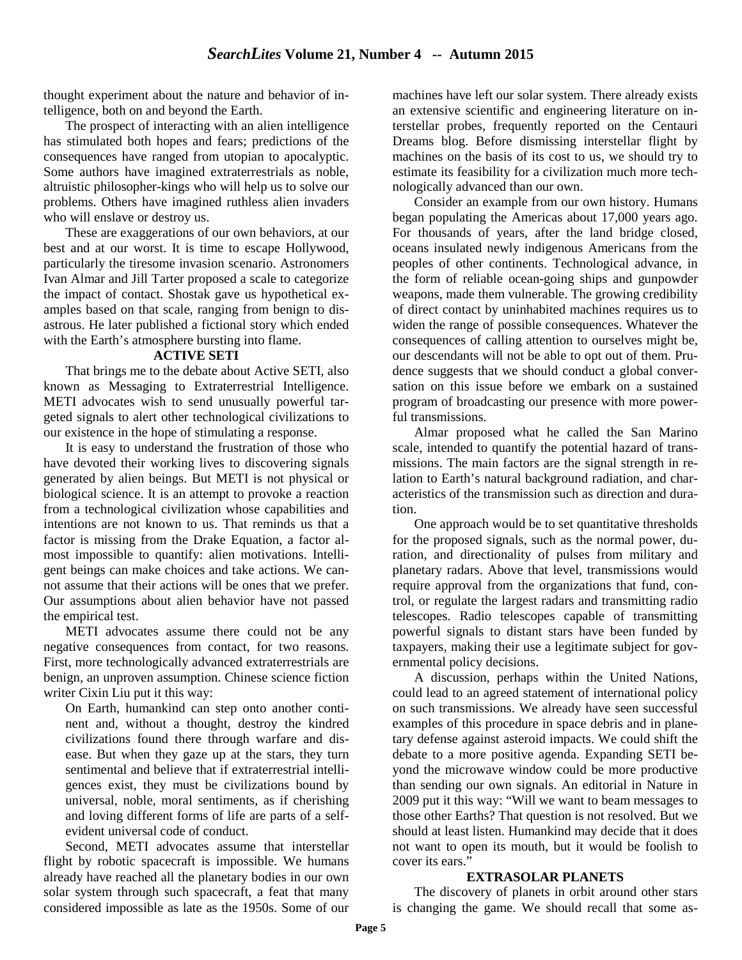thought experiment about the nature and behavior of intelligence, both on and beyond the Earth.

The prospect of interacting with an alien intelligence has stimulated both hopes and fears; predictions of the consequences have ranged from utopian to apocalyptic. Some authors have imagined extraterrestrials as noble, altruistic philosopher-kings who will help us to solve our problems. Others have imagined ruthless alien invaders who will enslave or destroy us.

These are exaggerations of our own behaviors, at our best and at our worst. It is time to escape Hollywood, particularly the tiresome invasion scenario. Astronomers Ivan Almar and Jill Tarter proposed a scale to categorize the impact of contact. Shostak gave us hypothetical examples based on that scale, ranging from benign to disastrous. He later published a fictional story which ended with the Earth's atmosphere bursting into flame.

#### **ACTIVE SETI**

That brings me to the debate about Active SETI, also known as Messaging to Extraterrestrial Intelligence. METI advocates wish to send unusually powerful targeted signals to alert other technological civilizations to our existence in the hope of stimulating a response.

It is easy to understand the frustration of those who have devoted their working lives to discovering signals generated by alien beings. But METI is not physical or biological science. It is an attempt to provoke a reaction from a technological civilization whose capabilities and intentions are not known to us. That reminds us that a factor is missing from the Drake Equation, a factor almost impossible to quantify: alien motivations. Intelligent beings can make choices and take actions. We cannot assume that their actions will be ones that we prefer. Our assumptions about alien behavior have not passed the empirical test.

METI advocates assume there could not be any negative consequences from contact, for two reasons. First, more technologically advanced extraterrestrials are benign, an unproven assumption. Chinese science fiction writer Cixin Liu put it this way:

On Earth, humankind can step onto another continent and, without a thought, destroy the kindred civilizations found there through warfare and disease. But when they gaze up at the stars, they turn sentimental and believe that if extraterrestrial intelligences exist, they must be civilizations bound by universal, noble, moral sentiments, as if cherishing and loving different forms of life are parts of a selfevident universal code of conduct.

Second, METI advocates assume that interstellar flight by robotic spacecraft is impossible. We humans already have reached all the planetary bodies in our own solar system through such spacecraft, a feat that many considered impossible as late as the 1950s. Some of our machines have left our solar system. There already exists an extensive scientific and engineering literature on interstellar probes, frequently reported on the Centauri Dreams blog. Before dismissing interstellar flight by machines on the basis of its cost to us, we should try to estimate its feasibility for a civilization much more technologically advanced than our own.

Consider an example from our own history. Humans began populating the Americas about 17,000 years ago. For thousands of years, after the land bridge closed, oceans insulated newly indigenous Americans from the peoples of other continents. Technological advance, in the form of reliable ocean-going ships and gunpowder weapons, made them vulnerable. The growing credibility of direct contact by uninhabited machines requires us to widen the range of possible consequences. Whatever the consequences of calling attention to ourselves might be, our descendants will not be able to opt out of them. Prudence suggests that we should conduct a global conversation on this issue before we embark on a sustained program of broadcasting our presence with more powerful transmissions.

Almar proposed what he called the San Marino scale, intended to quantify the potential hazard of transmissions. The main factors are the signal strength in relation to Earth's natural background radiation, and characteristics of the transmission such as direction and duration.

One approach would be to set quantitative thresholds for the proposed signals, such as the normal power, duration, and directionality of pulses from military and planetary radars. Above that level, transmissions would require approval from the organizations that fund, control, or regulate the largest radars and transmitting radio telescopes. Radio telescopes capable of transmitting powerful signals to distant stars have been funded by taxpayers, making their use a legitimate subject for governmental policy decisions.

A discussion, perhaps within the United Nations, could lead to an agreed statement of international policy on such transmissions. We already have seen successful examples of this procedure in space debris and in planetary defense against asteroid impacts. We could shift the debate to a more positive agenda. Expanding SETI beyond the microwave window could be more productive than sending our own signals. An editorial in Nature in 2009 put it this way: "Will we want to beam messages to those other Earths? That question is not resolved. But we should at least listen. Humankind may decide that it does not want to open its mouth, but it would be foolish to cover its ears."

#### **EXTRASOLAR PLANETS**

The discovery of planets in orbit around other stars is changing the game. We should recall that some as-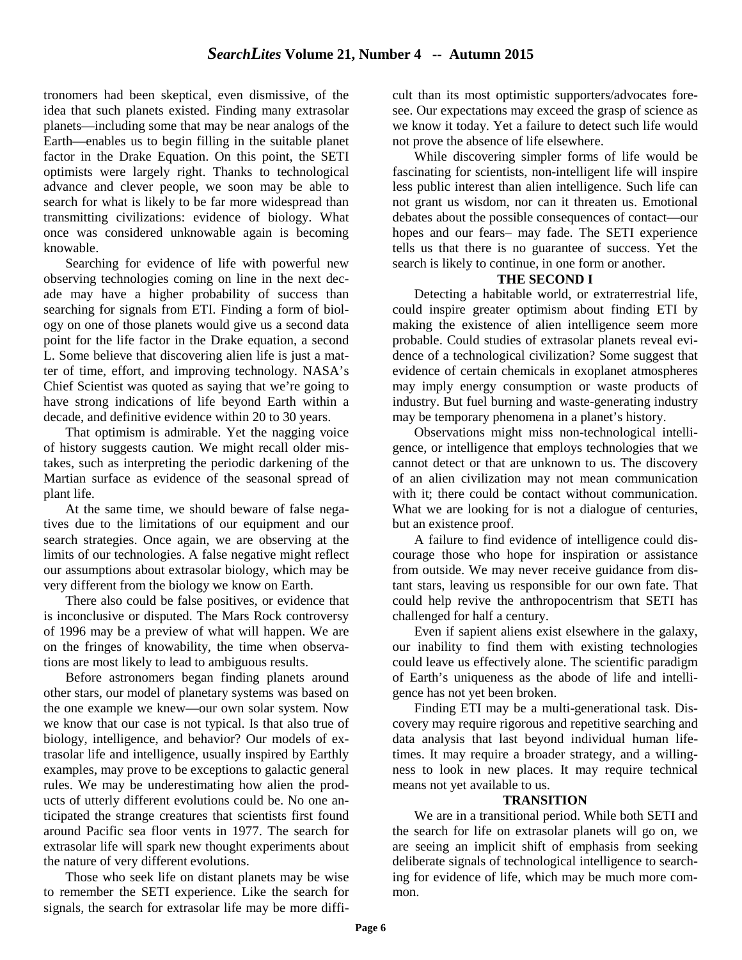tronomers had been skeptical, even dismissive, of the idea that such planets existed. Finding many extrasolar planets—including some that may be near analogs of the Earth—enables us to begin filling in the suitable planet factor in the Drake Equation. On this point, the SETI optimists were largely right. Thanks to technological advance and clever people, we soon may be able to search for what is likely to be far more widespread than transmitting civilizations: evidence of biology. What once was considered unknowable again is becoming knowable.

Searching for evidence of life with powerful new observing technologies coming on line in the next decade may have a higher probability of success than searching for signals from ETI. Finding a form of biology on one of those planets would give us a second data point for the life factor in the Drake equation, a second L. Some believe that discovering alien life is just a matter of time, effort, and improving technology. NASA's Chief Scientist was quoted as saying that we're going to have strong indications of life beyond Earth within a decade, and definitive evidence within 20 to 30 years.

That optimism is admirable. Yet the nagging voice of history suggests caution. We might recall older mistakes, such as interpreting the periodic darkening of the Martian surface as evidence of the seasonal spread of plant life.

At the same time, we should beware of false negatives due to the limitations of our equipment and our search strategies. Once again, we are observing at the limits of our technologies. A false negative might reflect our assumptions about extrasolar biology, which may be very different from the biology we know on Earth.

There also could be false positives, or evidence that is inconclusive or disputed. The Mars Rock controversy of 1996 may be a preview of what will happen. We are on the fringes of knowability, the time when observations are most likely to lead to ambiguous results.

Before astronomers began finding planets around other stars, our model of planetary systems was based on the one example we knew—our own solar system. Now we know that our case is not typical. Is that also true of biology, intelligence, and behavior? Our models of extrasolar life and intelligence, usually inspired by Earthly examples, may prove to be exceptions to galactic general rules. We may be underestimating how alien the products of utterly different evolutions could be. No one anticipated the strange creatures that scientists first found around Pacific sea floor vents in 1977. The search for extrasolar life will spark new thought experiments about the nature of very different evolutions.

Those who seek life on distant planets may be wise to remember the SETI experience. Like the search for signals, the search for extrasolar life may be more diffi-

cult than its most optimistic supporters/advocates foresee. Our expectations may exceed the grasp of science as we know it today. Yet a failure to detect such life would not prove the absence of life elsewhere.

While discovering simpler forms of life would be fascinating for scientists, non-intelligent life will inspire less public interest than alien intelligence. Such life can not grant us wisdom, nor can it threaten us. Emotional debates about the possible consequences of contact—our hopes and our fears– may fade. The SETI experience tells us that there is no guarantee of success. Yet the search is likely to continue, in one form or another.

#### **THE SECOND I**

Detecting a habitable world, or extraterrestrial life, could inspire greater optimism about finding ETI by making the existence of alien intelligence seem more probable. Could studies of extrasolar planets reveal evidence of a technological civilization? Some suggest that evidence of certain chemicals in exoplanet atmospheres may imply energy consumption or waste products of industry. But fuel burning and waste-generating industry may be temporary phenomena in a planet's history.

Observations might miss non-technological intelligence, or intelligence that employs technologies that we cannot detect or that are unknown to us. The discovery of an alien civilization may not mean communication with it; there could be contact without communication. What we are looking for is not a dialogue of centuries, but an existence proof.

A failure to find evidence of intelligence could discourage those who hope for inspiration or assistance from outside. We may never receive guidance from distant stars, leaving us responsible for our own fate. That could help revive the anthropocentrism that SETI has challenged for half a century.

Even if sapient aliens exist elsewhere in the galaxy, our inability to find them with existing technologies could leave us effectively alone. The scientific paradigm of Earth's uniqueness as the abode of life and intelligence has not yet been broken.

Finding ETI may be a multi-generational task. Discovery may require rigorous and repetitive searching and data analysis that last beyond individual human lifetimes. It may require a broader strategy, and a willingness to look in new places. It may require technical means not yet available to us.

#### **TRANSITION**

We are in a transitional period. While both SETI and the search for life on extrasolar planets will go on, we are seeing an implicit shift of emphasis from seeking deliberate signals of technological intelligence to searching for evidence of life, which may be much more common.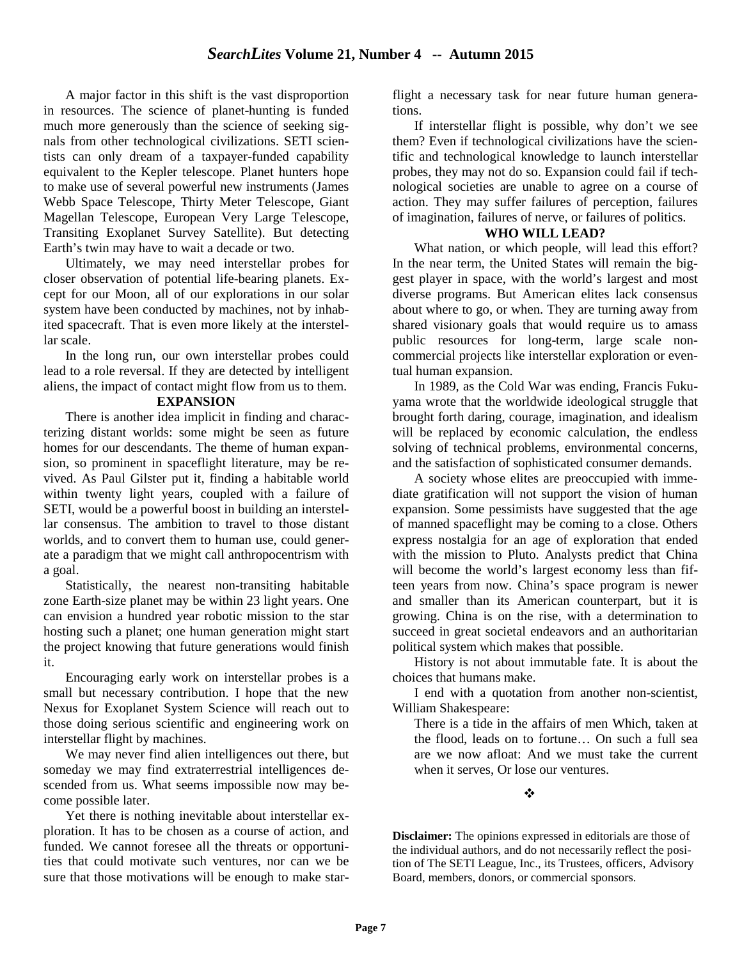A major factor in this shift is the vast disproportion in resources. The science of planet-hunting is funded much more generously than the science of seeking signals from other technological civilizations. SETI scientists can only dream of a taxpayer-funded capability equivalent to the Kepler telescope. Planet hunters hope to make use of several powerful new instruments (James Webb Space Telescope, Thirty Meter Telescope, Giant Magellan Telescope, European Very Large Telescope, Transiting Exoplanet Survey Satellite). But detecting Earth's twin may have to wait a decade or two.

Ultimately, we may need interstellar probes for closer observation of potential life-bearing planets. Except for our Moon, all of our explorations in our solar system have been conducted by machines, not by inhabited spacecraft. That is even more likely at the interstellar scale.

In the long run, our own interstellar probes could lead to a role reversal. If they are detected by intelligent aliens, the impact of contact might flow from us to them.

#### **EXPANSION**

There is another idea implicit in finding and characterizing distant worlds: some might be seen as future homes for our descendants. The theme of human expansion, so prominent in spaceflight literature, may be revived. As Paul Gilster put it, finding a habitable world within twenty light years, coupled with a failure of SETI, would be a powerful boost in building an interstellar consensus. The ambition to travel to those distant worlds, and to convert them to human use, could generate a paradigm that we might call anthropocentrism with a goal.

Statistically, the nearest non-transiting habitable zone Earth-size planet may be within 23 light years. One can envision a hundred year robotic mission to the star hosting such a planet; one human generation might start the project knowing that future generations would finish it.

Encouraging early work on interstellar probes is a small but necessary contribution. I hope that the new Nexus for Exoplanet System Science will reach out to those doing serious scientific and engineering work on interstellar flight by machines.

We may never find alien intelligences out there, but someday we may find extraterrestrial intelligences descended from us. What seems impossible now may become possible later.

Yet there is nothing inevitable about interstellar exploration. It has to be chosen as a course of action, and funded. We cannot foresee all the threats or opportunities that could motivate such ventures, nor can we be sure that those motivations will be enough to make starflight a necessary task for near future human generations.

If interstellar flight is possible, why don't we see them? Even if technological civilizations have the scientific and technological knowledge to launch interstellar probes, they may not do so. Expansion could fail if technological societies are unable to agree on a course of action. They may suffer failures of perception, failures of imagination, failures of nerve, or failures of politics.

#### **WHO WILL LEAD?**

What nation, or which people, will lead this effort? In the near term, the United States will remain the biggest player in space, with the world's largest and most diverse programs. But American elites lack consensus about where to go, or when. They are turning away from shared visionary goals that would require us to amass public resources for long-term, large scale noncommercial projects like interstellar exploration or eventual human expansion.

In 1989, as the Cold War was ending, Francis Fukuyama wrote that the worldwide ideological struggle that brought forth daring, courage, imagination, and idealism will be replaced by economic calculation, the endless solving of technical problems, environmental concerns, and the satisfaction of sophisticated consumer demands.

A society whose elites are preoccupied with immediate gratification will not support the vision of human expansion. Some pessimists have suggested that the age of manned spaceflight may be coming to a close. Others express nostalgia for an age of exploration that ended with the mission to Pluto. Analysts predict that China will become the world's largest economy less than fifteen years from now. China's space program is newer and smaller than its American counterpart, but it is growing. China is on the rise, with a determination to succeed in great societal endeavors and an authoritarian political system which makes that possible.

History is not about immutable fate. It is about the choices that humans make.

I end with a quotation from another non-scientist, William Shakespeare:

There is a tide in the affairs of men Which, taken at the flood, leads on to fortune… On such a full sea are we now afloat: And we must take the current when it serves, Or lose our ventures.

<u>कारण कर</u>

**Disclaimer:** The opinions expressed in editorials are those of the individual authors, and do not necessarily reflect the position of The SETI League, Inc., its Trustees, officers, Advisory Board, members, donors, or commercial sponsors.